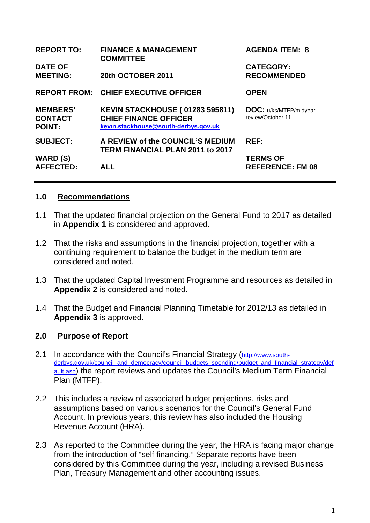| <b>REPORT TO:</b>                                  | <b>FINANCE &amp; MANAGEMENT</b><br><b>COMMITTEE</b>                                                            | <b>AGENDA ITEM: 8</b>                              |
|----------------------------------------------------|----------------------------------------------------------------------------------------------------------------|----------------------------------------------------|
| <b>DATE OF</b><br><b>MEETING:</b>                  | 20th OCTOBER 2011                                                                                              | <b>CATEGORY:</b><br><b>RECOMMENDED</b>             |
|                                                    | <b>REPORT FROM: CHIEF EXECUTIVE OFFICER</b>                                                                    | <b>OPEN</b>                                        |
| <b>MEMBERS'</b><br><b>CONTACT</b><br><b>POINT:</b> | <b>KEVIN STACKHOUSE (01283 595811)</b><br><b>CHIEF FINANCE OFFICER</b><br>kevin.stackhouse@south-derbys.gov.uk | <b>DOC:</b> u/ks/MTFP/midyear<br>review/October 11 |
| <b>SUBJECT:</b>                                    | A REVIEW of the COUNCIL'S MEDIUM<br><b>TERM FINANCIAL PLAN 2011 to 2017</b>                                    | <b>REF:</b>                                        |
| <b>WARD (S)</b><br><b>AFFECTED:</b>                | <b>ALL</b>                                                                                                     | <b>TERMS OF</b><br><b>REFERENCE: FM 08</b>         |

### **1.0 Recommendations**

- 1.1 That the updated financial projection on the General Fund to 2017 as detailed in **Appendix 1** is considered and approved.
- 1.2 That the risks and assumptions in the financial projection, together with a continuing requirement to balance the budget in the medium term are considered and noted.
- 1.3 That the updated Capital Investment Programme and resources as detailed in **Appendix 2** is considered and noted.
- 1.4 That the Budget and Financial Planning Timetable for 2012/13 as detailed in **Appendix 3** is approved.

### **2.0 Purpose of Report**

- 2.1 In accordance with the Council's Financial Strategy ([http://www.south](http://www.south-derbys.gov.uk/council_and_democracy/council_budgets_spending/budget_and_financial_strategy/default.asp)[derbys.gov.uk/council\\_and\\_democracy/council\\_budgets\\_spending/budget\\_and\\_financial\\_strategy/def](http://www.south-derbys.gov.uk/council_and_democracy/council_budgets_spending/budget_and_financial_strategy/default.asp) [ault.asp\)](http://www.south-derbys.gov.uk/council_and_democracy/council_budgets_spending/budget_and_financial_strategy/default.asp) the report reviews and updates the Council's Medium Term Financial Plan (MTFP).
- 2.2 This includes a review of associated budget projections, risks and assumptions based on various scenarios for the Council's General Fund Account. In previous years, this review has also included the Housing Revenue Account (HRA).
- 2.3 As reported to the Committee during the year, the HRA is facing major change from the introduction of "self financing." Separate reports have been considered by this Committee during the year, including a revised Business Plan, Treasury Management and other accounting issues.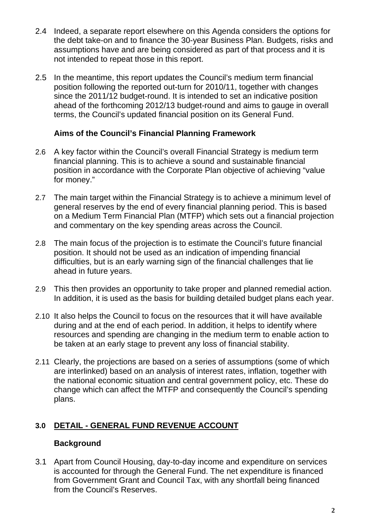- 2.4 Indeed, a separate report elsewhere on this Agenda considers the options for the debt take-on and to finance the 30-year Business Plan. Budgets, risks and assumptions have and are being considered as part of that process and it is not intended to repeat those in this report.
- 2.5 In the meantime, this report updates the Council's medium term financial position following the reported out-turn for 2010/11, together with changes since the 2011/12 budget-round. It is intended to set an indicative position ahead of the forthcoming 2012/13 budget-round and aims to gauge in overall terms, the Council's updated financial position on its General Fund.

# **Aims of the Council's Financial Planning Framework**

- 2.6 A key factor within the Council's overall Financial Strategy is medium term financial planning. This is to achieve a sound and sustainable financial position in accordance with the Corporate Plan objective of achieving "value for money."
- 2.7 The main target within the Financial Strategy is to achieve a minimum level of general reserves by the end of every financial planning period. This is based on a Medium Term Financial Plan (MTFP) which sets out a financial projection and commentary on the key spending areas across the Council.
- 2.8 The main focus of the projection is to estimate the Council's future financial position. It should not be used as an indication of impending financial difficulties, but is an early warning sign of the financial challenges that lie ahead in future years.
- 2.9 This then provides an opportunity to take proper and planned remedial action. In addition, it is used as the basis for building detailed budget plans each year.
- 2.10 It also helps the Council to focus on the resources that it will have available during and at the end of each period. In addition, it helps to identify where resources and spending are changing in the medium term to enable action to be taken at an early stage to prevent any loss of financial stability.
- 2.11 Clearly, the projections are based on a series of assumptions (some of which are interlinked) based on an analysis of interest rates, inflation, together with the national economic situation and central government policy, etc. These do change which can affect the MTFP and consequently the Council's spending plans.

# **3.0 DETAIL - GENERAL FUND REVENUE ACCOUNT**

# **Background**

3.1 Apart from Council Housing, day-to-day income and expenditure on services is accounted for through the General Fund. The net expenditure is financed from Government Grant and Council Tax, with any shortfall being financed from the Council's Reserves.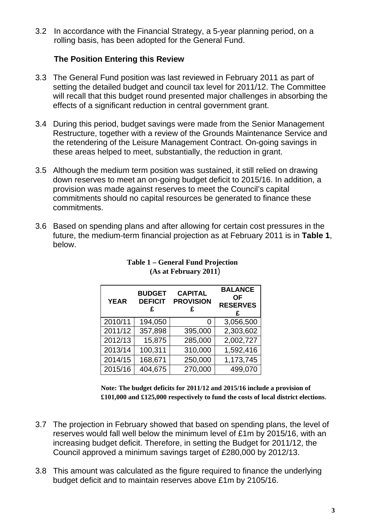3.2 In accordance with the Financial Strategy, a 5-year planning period, on a rolling basis, has been adopted for the General Fund.

# **The Position Entering this Review**

- 3.3 The General Fund position was last reviewed in February 2011 as part of setting the detailed budget and council tax level for 2011/12. The Committee will recall that this budget round presented major challenges in absorbing the effects of a significant reduction in central government grant.
- 3.4 During this period, budget savings were made from the Senior Management Restructure, together with a review of the Grounds Maintenance Service and the retendering of the Leisure Management Contract. On-going savings in these areas helped to meet, substantially, the reduction in grant.
- 3.5 Although the medium term position was sustained, it still relied on drawing down reserves to meet an on-going budget deficit to 2015/16. In addition, a provision was made against reserves to meet the Council's capital commitments should no capital resources be generated to finance these commitments.
- 3.6 Based on spending plans and after allowing for certain cost pressures in the future, the medium-term financial projection as at February 2011 is in **Table 1**, below.

| <b>YEAR</b> | <b>BUDGET</b><br><b>DEFICIT</b> | <b>CAPITAL</b><br><b>PROVISION</b> | <b>BALANCE</b><br>ΟF<br><b>RESERVES</b> |
|-------------|---------------------------------|------------------------------------|-----------------------------------------|
| 2010/11     | 194,050                         |                                    | 3,056,500                               |
| 2011/12     | 357,898                         | 395,000                            | 2,303,602                               |
| 2012/13     | 15,875                          | 285,000                            | 2,002,727                               |
| 2013/14     | 100,311                         | 310,000                            | 1,592,416                               |
| 2014/15     | 168,671                         | 250,000                            | 1,173,745                               |
| 2015/16     | 404,675                         | 270,000                            | 499,070                                 |

#### **Table 1 – General Fund Projection (As at February 2011**)

**Note: The budget deficits for 2011/12 and 2015/16 include a provision of £101,000 and £125,000 respectively to fund the costs of local district elections**.

- 3.7 The projection in February showed that based on spending plans, the level of reserves would fall well below the minimum level of £1m by 2015/16, with an increasing budget deficit. Therefore, in setting the Budget for 2011/12, the Council approved a minimum savings target of £280,000 by 2012/13.
- 3.8 This amount was calculated as the figure required to finance the underlying budget deficit and to maintain reserves above £1m by 2105/16.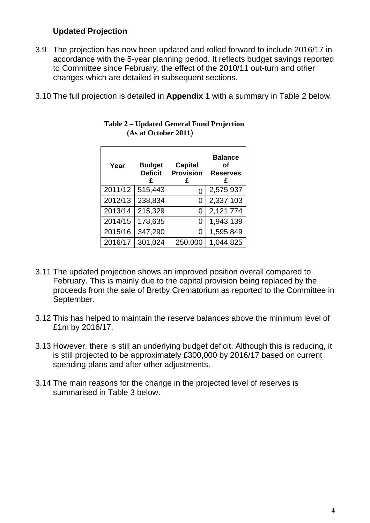# **Updated Projection**

- 3.9 The projection has now been updated and rolled forward to include 2016/17 in accordance with the 5-year planning period. It reflects budget savings reported to Committee since February, the effect of the 2010/11 out-turn and other changes which are detailed in subsequent sections.
- 3.10 The full projection is detailed in **Appendix 1** with a summary in Table 2 below.

| Year    | <b>Budget</b><br><b>Deficit</b><br>£ | <b>Capital</b><br><b>Provision</b><br>£ | <b>Balance</b><br>οf<br><b>Reserves</b><br>£ |
|---------|--------------------------------------|-----------------------------------------|----------------------------------------------|
| 2011/12 | 515,443                              | O                                       | 2,575,937                                    |
| 2012/13 | 238,834                              | 0                                       | 2,337,103                                    |
| 2013/14 | 215,329                              | 0                                       | 2,121,774                                    |
| 2014/15 | 178,635                              | 0                                       | 1,943,139                                    |
| 2015/16 | 347,290                              | O)                                      | 1,595,849                                    |
| 2016/17 | 301,024                              | 250,000                                 | 1,044,825                                    |

#### **Table 2 – Updated General Fund Projection (As at October 2011**)

- 3.11 The updated projection shows an improved position overall compared to February. This is mainly due to the capital provision being replaced by the proceeds from the sale of Bretby Crematorium as reported to the Committee in September.
- 3.12 This has helped to maintain the reserve balances above the minimum level of £1m by 2016/17.
- 3.13 However, there is still an underlying budget deficit. Although this is reducing, it is still projected to be approximately £300,000 by 2016/17 based on current spending plans and after other adjustments.
- 3.14 The main reasons for the change in the projected level of reserves is summarised in Table 3 below.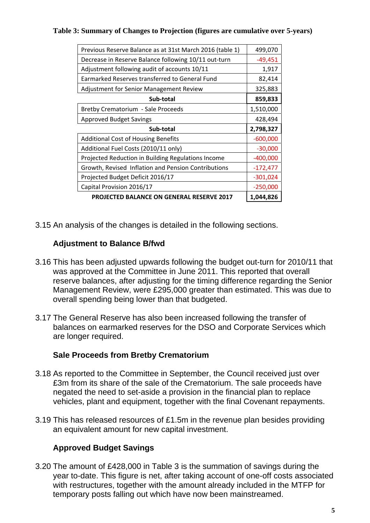#### **Table 3: Summary of Changes to Projection (figures are cumulative over 5-years)**

| Previous Reserve Balance as at 31st March 2016 (table 1) | 499,070    |
|----------------------------------------------------------|------------|
| Decrease in Reserve Balance following 10/11 out-turn     | $-49,451$  |
| Adjustment following audit of accounts 10/11             | 1,917      |
| Earmarked Reserves transferred to General Fund           | 82,414     |
| Adjustment for Senior Management Review                  | 325,883    |
| Sub-total                                                | 859,833    |
| Bretby Crematorium - Sale Proceeds                       | 1,510,000  |
| <b>Approved Budget Savings</b>                           | 428,494    |
| Sub-total                                                | 2,798,327  |
| <b>Additional Cost of Housing Benefits</b>               | $-600,000$ |
| Additional Fuel Costs (2010/11 only)                     | $-30,000$  |
| Projected Reduction in Building Regulations Income       | $-400,000$ |
| Growth, Revised Inflation and Pension Contributions      | $-172,477$ |
| Projected Budget Deficit 2016/17                         | $-301,024$ |
| Capital Provision 2016/17                                | $-250,000$ |
| <b>PROJECTED BALANCE ON GENERAL RESERVE 2017</b>         | 1,044,826  |

3.15 An analysis of the changes is detailed in the following sections.

# **Adjustment to Balance B/fwd**

- 3.16 This has been adjusted upwards following the budget out-turn for 2010/11 that was approved at the Committee in June 2011. This reported that overall reserve balances, after adjusting for the timing difference regarding the Senior Management Review, were £295,000 greater than estimated. This was due to overall spending being lower than that budgeted.
- 3.17 The General Reserve has also been increased following the transfer of balances on earmarked reserves for the DSO and Corporate Services which are longer required.

#### **Sale Proceeds from Bretby Crematorium**

- 3.18 As reported to the Committee in September, the Council received just over £3m from its share of the sale of the Crematorium. The sale proceeds have negated the need to set-aside a provision in the financial plan to replace vehicles, plant and equipment, together with the final Covenant repayments.
- 3.19 This has released resources of £1.5m in the revenue plan besides providing an equivalent amount for new capital investment.

### **Approved Budget Savings**

3.20 The amount of £428,000 in Table 3 is the summation of savings during the year to-date. This figure is net, after taking account of one-off costs associated with restructures, together with the amount already included in the MTFP for temporary posts falling out which have now been mainstreamed.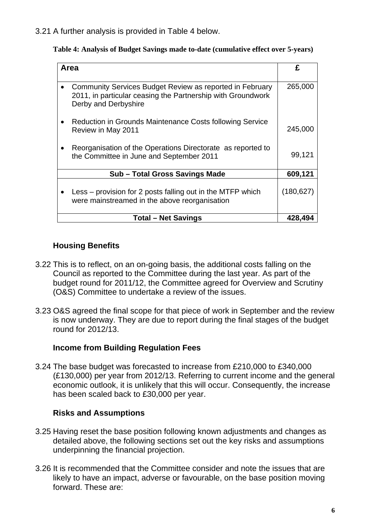3.21 A further analysis is provided in Table 4 below.

|  |  |  | Table 4: Analysis of Budget Savings made to-date (cumulative effect over 5-years) |
|--|--|--|-----------------------------------------------------------------------------------|
|  |  |  |                                                                                   |
|  |  |  |                                                                                   |
|  |  |  |                                                                                   |

| Area                                                                                                                                            | £          |
|-------------------------------------------------------------------------------------------------------------------------------------------------|------------|
|                                                                                                                                                 |            |
| Community Services Budget Review as reported in February<br>2011, in particular ceasing the Partnership with Groundwork<br>Derby and Derbyshire | 265,000    |
| Reduction in Grounds Maintenance Costs following Service<br>Review in May 2011                                                                  | 245,000    |
| Reorganisation of the Operations Directorate as reported to<br>the Committee in June and September 2011                                         | 99,121     |
| Sub - Total Gross Savings Made                                                                                                                  | 609,121    |
| Less – provision for 2 posts falling out in the MTFP which<br>were mainstreamed in the above reorganisation                                     | (180, 627) |
| <b>Total – Net Savings</b>                                                                                                                      | 428,494    |

# **Housing Benefits**

- 3.22 This is to reflect, on an on-going basis, the additional costs falling on the Council as reported to the Committee during the last year. As part of the budget round for 2011/12, the Committee agreed for Overview and Scrutiny (O&S) Committee to undertake a review of the issues.
- 3.23 O&S agreed the final scope for that piece of work in September and the review is now underway. They are due to report during the final stages of the budget round for 2012/13.

### **Income from Building Regulation Fees**

3.24 The base budget was forecasted to increase from £210,000 to £340,000 (£130,000) per year from 2012/13. Referring to current income and the general economic outlook, it is unlikely that this will occur. Consequently, the increase has been scaled back to £30,000 per year.

### **Risks and Assumptions**

- 3.25 Having reset the base position following known adjustments and changes as detailed above, the following sections set out the key risks and assumptions underpinning the financial projection.
- 3.26 It is recommended that the Committee consider and note the issues that are likely to have an impact, adverse or favourable, on the base position moving forward. These are: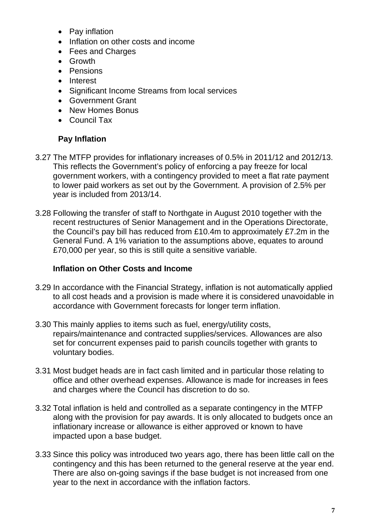- Pay inflation
- Inflation on other costs and income
- Fees and Charges
- Growth
- Pensions
- Interest
- Significant Income Streams from local services
- Government Grant
- New Homes Bonus
- Council Tax

# **Pay Inflation**

- 3.27 The MTFP provides for inflationary increases of 0.5% in 2011/12 and 2012/13. This reflects the Government's policy of enforcing a pay freeze for local government workers, with a contingency provided to meet a flat rate payment to lower paid workers as set out by the Government. A provision of 2.5% per year is included from 2013/14.
- 3.28 Following the transfer of staff to Northgate in August 2010 together with the recent restructures of Senior Management and in the Operations Directorate, the Council's pay bill has reduced from £10.4m to approximately £7.2m in the General Fund. A 1% variation to the assumptions above, equates to around £70,000 per year, so this is still quite a sensitive variable.

# **Inflation on Other Costs and Income**

- 3.29 In accordance with the Financial Strategy, inflation is not automatically applied to all cost heads and a provision is made where it is considered unavoidable in accordance with Government forecasts for longer term inflation.
- 3.30 This mainly applies to items such as fuel, energy/utility costs, repairs/maintenance and contracted supplies/services. Allowances are also set for concurrent expenses paid to parish councils together with grants to voluntary bodies.
- 3.31 Most budget heads are in fact cash limited and in particular those relating to office and other overhead expenses. Allowance is made for increases in fees and charges where the Council has discretion to do so.
- 3.32 Total inflation is held and controlled as a separate contingency in the MTFP along with the provision for pay awards. It is only allocated to budgets once an inflationary increase or allowance is either approved or known to have impacted upon a base budget.
- 3.33 Since this policy was introduced two years ago, there has been little call on the contingency and this has been returned to the general reserve at the year end. There are also on-going savings if the base budget is not increased from one year to the next in accordance with the inflation factors.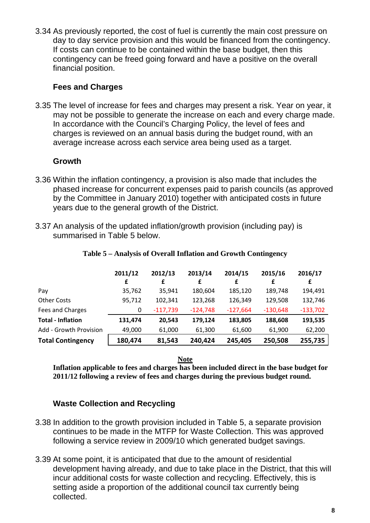3.34 As previously reported, the cost of fuel is currently the main cost pressure on day to day service provision and this would be financed from the contingency. If costs can continue to be contained within the base budget, then this contingency can be freed going forward and have a positive on the overall financial position.

## **Fees and Charges**

3.35 The level of increase for fees and charges may present a risk. Year on year, it may not be possible to generate the increase on each and every charge made. In accordance with the Council's Charging Policy, the level of fees and charges is reviewed on an annual basis during the budget round, with an average increase across each service area being used as a target.

# **Growth**

- 3.36 Within the inflation contingency, a provision is also made that includes the phased increase for concurrent expenses paid to parish councils (as approved by the Committee in January 2010) together with anticipated costs in future years due to the general growth of the District.
- 3.37 An analysis of the updated inflation/growth provision (including pay) is summarised in Table 5 below.

|                          | 2011/12 | 2012/13    | 2013/14    | 2014/15    | 2015/16    | 2016/17    |
|--------------------------|---------|------------|------------|------------|------------|------------|
|                          | £       | £          | £          | £          | £          | £          |
| Pay                      | 35,762  | 35,941     | 180,604    | 185,120    | 189,748    | 194,491    |
| <b>Other Costs</b>       | 95,712  | 102,341    | 123,268    | 126,349    | 129,508    | 132,746    |
| Fees and Charges         | 0       | $-117,739$ | $-124,748$ | $-127,664$ | $-130,648$ | $-133,702$ |
| <b>Total - Inflation</b> | 131,474 | 20,543     | 179,124    | 183,805    | 188,608    | 193,535    |
| Add - Growth Provision   | 49,000  | 61,000     | 61,300     | 61,600     | 61,900     | 62,200     |
| <b>Total Contingency</b> | 180,474 | 81,543     | 240,424    | 245,405    | 250,508    | 255,735    |

#### **Table 5 – Analysis of Overall Inflation and Growth Contingency**

#### **Note**

**Inflation applicable to fees and charges has been included direct in the base budget for 2011/12 following a review of fees and charges during the previous budget round.**

# **Waste Collection and Recycling**

- 3.38 In addition to the growth provision included in Table 5, a separate provision continues to be made in the MTFP for Waste Collection. This was approved following a service review in 2009/10 which generated budget savings.
- 3.39 At some point, it is anticipated that due to the amount of residential development having already, and due to take place in the District, that this will incur additional costs for waste collection and recycling. Effectively, this is setting aside a proportion of the additional council tax currently being collected.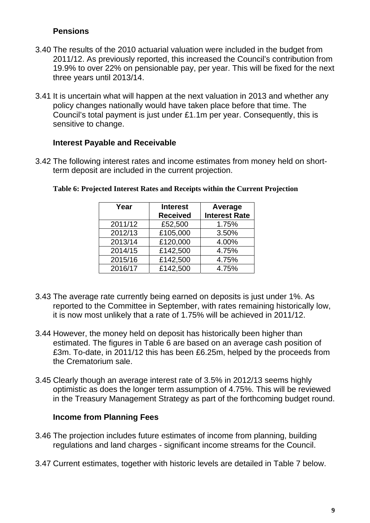# **Pensions**

- 3.40 The results of the 2010 actuarial valuation were included in the budget from 2011/12. As previously reported, this increased the Council's contribution from 19.9% to over 22% on pensionable pay, per year. This will be fixed for the next three years until 2013/14.
- 3.41 It is uncertain what will happen at the next valuation in 2013 and whether any policy changes nationally would have taken place before that time. The Council's total payment is just under £1.1m per year. Consequently, this is sensitive to change.

### **Interest Payable and Receivable**

3.42 The following interest rates and income estimates from money held on shortterm deposit are included in the current projection.

| Year    | <b>Interest</b> | Average              |
|---------|-----------------|----------------------|
|         | <b>Received</b> | <b>Interest Rate</b> |
| 2011/12 | £52,500         | 1.75%                |
| 2012/13 | £105,000        | 3.50%                |
| 2013/14 | £120,000        | 4.00%                |
| 2014/15 | £142,500        | 4.75%                |
| 2015/16 | £142,500        | 4.75%                |
| 2016/17 | £142,500        | 4.75%                |

#### **Table 6: Projected Interest Rates and Receipts within the Current Projection**

- 3.43 The average rate currently being earned on deposits is just under 1%. As reported to the Committee in September, with rates remaining historically low, it is now most unlikely that a rate of 1.75% will be achieved in 2011/12.
- 3.44 However, the money held on deposit has historically been higher than estimated. The figures in Table 6 are based on an average cash position of £3m. To-date, in 2011/12 this has been £6.25m, helped by the proceeds from the Crematorium sale.
- 3.45 Clearly though an average interest rate of 3.5% in 2012/13 seems highly optimistic as does the longer term assumption of 4.75%. This will be reviewed in the Treasury Management Strategy as part of the forthcoming budget round.

### **Income from Planning Fees**

- 3.46 The projection includes future estimates of income from planning, building regulations and land charges - significant income streams for the Council.
- 3.47 Current estimates, together with historic levels are detailed in Table 7 below.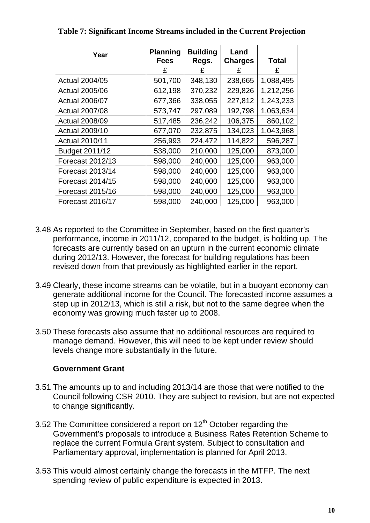| Year                    | <b>Planning</b><br><b>Fees</b><br>£ | <b>Building</b><br>Regs.<br>£ | Land<br><b>Charges</b><br>£ | <b>Total</b><br>£ |
|-------------------------|-------------------------------------|-------------------------------|-----------------------------|-------------------|
| <b>Actual 2004/05</b>   | 501,700                             | 348,130                       | 238,665                     | 1,088,495         |
| <b>Actual 2005/06</b>   | 612,198                             | 370,232                       | 229,826                     | 1,212,256         |
| <b>Actual 2006/07</b>   | 677,366                             | 338,055                       | 227,812                     | 1,243,233         |
| <b>Actual 2007/08</b>   | 573,747                             | 297,089                       | 192,798                     | 1,063,634         |
| <b>Actual 2008/09</b>   | 517,485                             | 236,242                       | 106,375                     | 860,102           |
| <b>Actual 2009/10</b>   | 677,070                             | 232,875                       | 134,023                     | 1,043,968         |
| <b>Actual 2010/11</b>   | 256,993                             | 224,472                       | 114,822                     | 596,287           |
| Budget 2011/12          | 538,000                             | 210,000                       | 125,000                     | 873,000           |
| Forecast 2012/13        | 598,000                             | 240,000                       | 125,000                     | 963,000           |
| <b>Forecast 2013/14</b> | 598,000                             | 240,000                       | 125,000                     | 963,000           |
| Forecast 2014/15        | 598,000                             | 240,000                       | 125,000                     | 963,000           |
| Forecast 2015/16        | 598,000                             | 240,000                       | 125,000                     | 963,000           |
| Forecast 2016/17        | 598,000                             | 240,000                       | 125,000                     | 963,000           |

**Table 7: Significant Income Streams included in the Current Projection** 

- 3.48 As reported to the Committee in September, based on the first quarter's performance, income in 2011/12, compared to the budget, is holding up. The forecasts are currently based on an upturn in the current economic climate during 2012/13. However, the forecast for building regulations has been revised down from that previously as highlighted earlier in the report.
- 3.49 Clearly, these income streams can be volatile, but in a buoyant economy can generate additional income for the Council. The forecasted income assumes a step up in 2012/13, which is still a risk, but not to the same degree when the economy was growing much faster up to 2008.
- 3.50 These forecasts also assume that no additional resources are required to manage demand. However, this will need to be kept under review should levels change more substantially in the future.

### **Government Grant**

- 3.51 The amounts up to and including 2013/14 are those that were notified to the Council following CSR 2010. They are subject to revision, but are not expected to change significantly.
- 3.52 The Committee considered a report on  $12<sup>th</sup>$  October regarding the Government's proposals to introduce a Business Rates Retention Scheme to replace the current Formula Grant system. Subject to consultation and Parliamentary approval, implementation is planned for April 2013.
- 3.53 This would almost certainly change the forecasts in the MTFP. The next spending review of public expenditure is expected in 2013.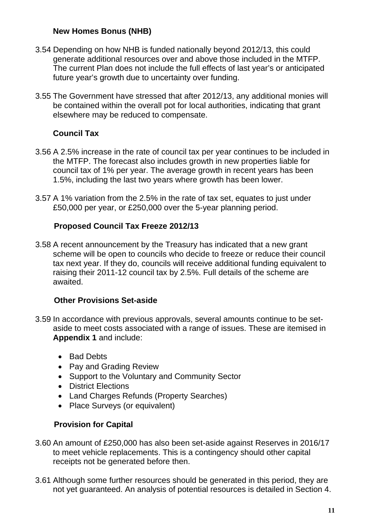# **New Homes Bonus (NHB)**

- 3.54 Depending on how NHB is funded nationally beyond 2012/13, this could generate additional resources over and above those included in the MTFP. The current Plan does not include the full effects of last year's or anticipated future year's growth due to uncertainty over funding.
- 3.55 The Government have stressed that after 2012/13, any additional monies will be contained within the overall pot for local authorities, indicating that grant elsewhere may be reduced to compensate.

# **Council Tax**

- 3.56 A 2.5% increase in the rate of council tax per year continues to be included in the MTFP. The forecast also includes growth in new properties liable for council tax of 1% per year. The average growth in recent years has been 1.5%, including the last two years where growth has been lower.
- 3.57 A 1% variation from the 2.5% in the rate of tax set, equates to just under £50,000 per year, or £250,000 over the 5-year planning period.

# **Proposed Council Tax Freeze 2012/13**

3.58 A recent announcement by the Treasury has indicated that a new grant scheme will be open to councils who decide to freeze or reduce their council tax next year. If they do, councils will receive additional funding equivalent to raising their 2011-12 council tax by 2.5%. Full details of the scheme are awaited.

# **Other Provisions Set-aside**

- 3.59 In accordance with previous approvals, several amounts continue to be setaside to meet costs associated with a range of issues. These are itemised in **Appendix 1** and include:
	- Bad Debts
	- Pay and Grading Review
	- Support to the Voluntary and Community Sector
	- District Elections
	- Land Charges Refunds (Property Searches)
	- Place Surveys (or equivalent)

# **Provision for Capital**

- 3.60 An amount of £250,000 has also been set-aside against Reserves in 2016/17 to meet vehicle replacements. This is a contingency should other capital receipts not be generated before then.
- 3.61 Although some further resources should be generated in this period, they are not yet guaranteed. An analysis of potential resources is detailed in Section 4.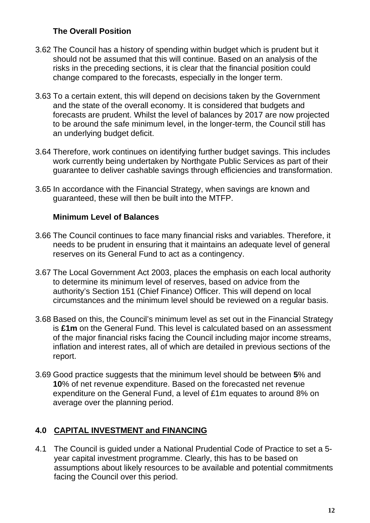# **The Overall Position**

- 3.62 The Council has a history of spending within budget which is prudent but it should not be assumed that this will continue. Based on an analysis of the risks in the preceding sections, it is clear that the financial position could change compared to the forecasts, especially in the longer term.
- 3.63 To a certain extent, this will depend on decisions taken by the Government and the state of the overall economy. It is considered that budgets and forecasts are prudent. Whilst the level of balances by 2017 are now projected to be around the safe minimum level, in the longer-term, the Council still has an underlying budget deficit.
- 3.64 Therefore, work continues on identifying further budget savings. This includes work currently being undertaken by Northgate Public Services as part of their guarantee to deliver cashable savings through efficiencies and transformation.
- 3.65 In accordance with the Financial Strategy, when savings are known and guaranteed, these will then be built into the MTFP.

# **Minimum Level of Balances**

- 3.66 The Council continues to face many financial risks and variables. Therefore, it needs to be prudent in ensuring that it maintains an adequate level of general reserves on its General Fund to act as a contingency.
- 3.67 The Local Government Act 2003, places the emphasis on each local authority to determine its minimum level of reserves, based on advice from the authority's Section 151 (Chief Finance) Officer. This will depend on local circumstances and the minimum level should be reviewed on a regular basis.
- 3.68 Based on this, the Council's minimum level as set out in the Financial Strategy is **£1m** on the General Fund. This level is calculated based on an assessment of the major financial risks facing the Council including major income streams, inflation and interest rates, all of which are detailed in previous sections of the report.
- 3.69 Good practice suggests that the minimum level should be between **5**% and **10**% of net revenue expenditure. Based on the forecasted net revenue expenditure on the General Fund, a level of £1m equates to around 8% on average over the planning period.

# **4.0 CAPITAL INVESTMENT and FINANCING**

4.1 The Council is guided under a National Prudential Code of Practice to set a 5 year capital investment programme. Clearly, this has to be based on assumptions about likely resources to be available and potential commitments facing the Council over this period.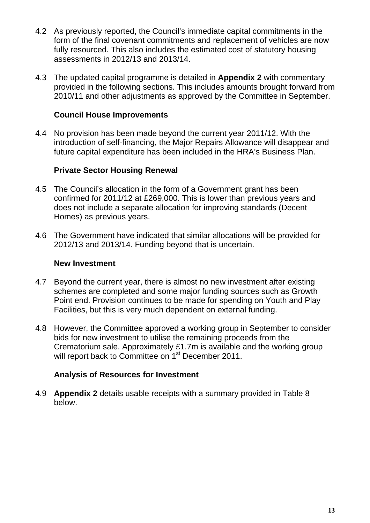- 4.2 As previously reported, the Council's immediate capital commitments in the form of the final covenant commitments and replacement of vehicles are now fully resourced. This also includes the estimated cost of statutory housing assessments in 2012/13 and 2013/14.
- 4.3 The updated capital programme is detailed in **Appendix 2** with commentary provided in the following sections. This includes amounts brought forward from 2010/11 and other adjustments as approved by the Committee in September.

## **Council House Improvements**

4.4 No provision has been made beyond the current year 2011/12. With the introduction of self-financing, the Major Repairs Allowance will disappear and future capital expenditure has been included in the HRA's Business Plan.

# **Private Sector Housing Renewal**

- 4.5 The Council's allocation in the form of a Government grant has been confirmed for 2011/12 at £269,000. This is lower than previous years and does not include a separate allocation for improving standards (Decent Homes) as previous years.
- 4.6 The Government have indicated that similar allocations will be provided for 2012/13 and 2013/14. Funding beyond that is uncertain.

### **New Investment**

- 4.7 Beyond the current year, there is almost no new investment after existing schemes are completed and some major funding sources such as Growth Point end. Provision continues to be made for spending on Youth and Play Facilities, but this is very much dependent on external funding.
- 4.8 However, the Committee approved a working group in September to consider bids for new investment to utilise the remaining proceeds from the Crematorium sale. Approximately £1.7m is available and the working group will report back to Committee on 1<sup>st</sup> December 2011.

### **Analysis of Resources for Investment**

4.9 **Appendix 2** details usable receipts with a summary provided in Table 8 below.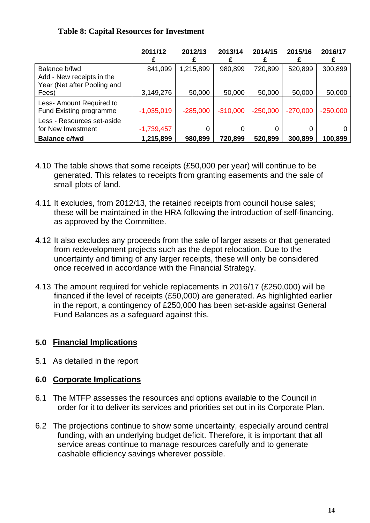### **Table 8: Capital Resources for Investment**

|                                                                   | 2011/12      | 2012/13    | 2013/14    | 2014/15    | 2015/16    | 2016/17    |
|-------------------------------------------------------------------|--------------|------------|------------|------------|------------|------------|
| Balance b/fwd                                                     | 841,099      | 1,215,899  | 980,899    | 720,899    | 520,899    | 300,899    |
| Add - New receipts in the<br>Year (Net after Pooling and<br>Fees) | 3,149,276    | 50,000     | 50,000     | 50,000     | 50,000     | 50,000     |
| Less- Amount Required to<br><b>Fund Existing programme</b>        | $-1,035,019$ | $-285,000$ | $-310,000$ | $-250,000$ | $-270,000$ | $-250,000$ |
| Less - Resources set-aside<br>for New Investment                  | $-1,739,457$ | 0          | 0          |            |            |            |
| <b>Balance c/fwd</b>                                              | 1,215,899    | 980,899    | 720,899    | 520,899    | 300,899    | 100,899    |

- 4.10 The table shows that some receipts (£50,000 per year) will continue to be generated. This relates to receipts from granting easements and the sale of small plots of land.
- 4.11 It excludes, from 2012/13, the retained receipts from council house sales; these will be maintained in the HRA following the introduction of self-financing, as approved by the Committee.
- 4.12 It also excludes any proceeds from the sale of larger assets or that generated from redevelopment projects such as the depot relocation. Due to the uncertainty and timing of any larger receipts, these will only be considered once received in accordance with the Financial Strategy.
- 4.13 The amount required for vehicle replacements in 2016/17 (£250,000) will be financed if the level of receipts (£50,000) are generated. As highlighted earlier in the report, a contingency of £250,000 has been set-aside against General Fund Balances as a safeguard against this.

# **5.0 Financial Implications**

5.1 As detailed in the report

### **6.0 Corporate Implications**

- 6.1 The MTFP assesses the resources and options available to the Council in order for it to deliver its services and priorities set out in its Corporate Plan.
- 6.2 The projections continue to show some uncertainty, especially around central funding, with an underlying budget deficit. Therefore, it is important that all service areas continue to manage resources carefully and to generate cashable efficiency savings wherever possible.